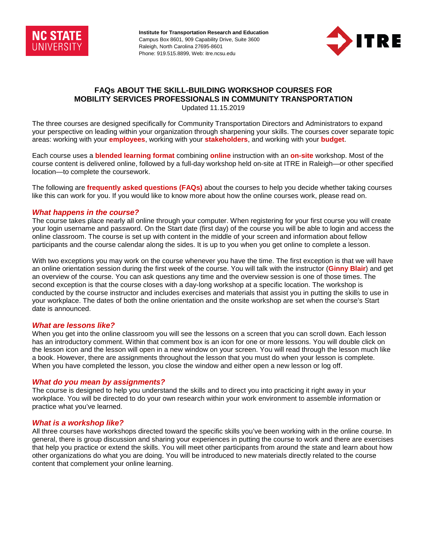

**Institute for Transportation Research and Education**  Campus Box 8601, 909 Capability Drive, Suite 3600 Raleigh, North Carolina 27695-8601 Phone: 919.515.8899, Web: itre.ncsu.edu



# **FAQs ABOUT THE SKILL-BUILDING WORKSHOP COURSES FOR MOBILITY SERVICES PROFESSIONALS IN COMMUNITY TRANSPORTATION**

Updated 11.15.2019

The three courses are designed specifically for Community Transportation Directors and Administrators to expand your perspective on leading within your organization through sharpening your skills. The courses cover separate topic areas: working with your **employees**, working with your **stakeholders**, and working with your **budget**.

Each course uses a **blended learning format** combining **online** instruction with an **on-site** workshop. Most of the course content is delivered online, followed by a full-day workshop held on-site at ITRE in Raleigh—or other specified location—to complete the coursework.

The following are **frequently asked questions (FAQs)** about the courses to help you decide whether taking courses like this can work for you. If you would like to know more about how the online courses work, please read on.

### *What happens in the course?*

The course takes place nearly all online through your computer. When registering for your first course you will create your login username and password. On the Start date (first day) of the course you will be able to login and access the online classroom. The course is set up with content in the middle of your screen and information about fellow participants and the course calendar along the sides. It is up to you when you get online to complete a lesson.

With two exceptions you may work on the course whenever you have the time. The first exception is that we will have an online orientation session during the first week of the course. You will talk with the instructor (**Ginny Blair**) and get an overview of the course. You can ask questions any time and the overview session is one of those times. The second exception is that the course closes with a day-long workshop at a specific location. The workshop is conducted by the course instructor and includes exercises and materials that assist you in putting the skills to use in your workplace. The dates of both the online orientation and the onsite workshop are set when the course's Start date is announced.

### *What are lessons like?*

When you get into the online classroom you will see the lessons on a screen that you can scroll down. Each lesson has an introductory comment. Within that comment box is an icon for one or more lessons. You will double click on the lesson icon and the lesson will open in a new window on your screen. You will read through the lesson much like a book. However, there are assignments throughout the lesson that you must do when your lesson is complete. When you have completed the lesson, you close the window and either open a new lesson or log off.

### *What do you mean by assignments?*

The course is designed to help you understand the skills and to direct you into practicing it right away in your workplace. You will be directed to do your own research within your work environment to assemble information or practice what you've learned.

### *What is a workshop like?*

All three courses have workshops directed toward the specific skills you've been working with in the online course. In general, there is group discussion and sharing your experiences in putting the course to work and there are exercises that help you practice or extend the skills. You will meet other participants from around the state and learn about how other organizations do what you are doing. You will be introduced to new materials directly related to the course content that complement your online learning.